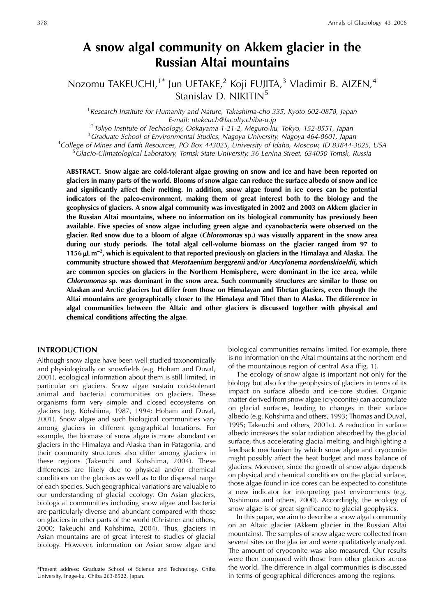# **A snow algal community on Akkem glacier in the Russian Altai mountains**

Nozomu TAKEUCHI,<sup>1\*</sup> Jun UETAKE,<sup>2</sup> Koji FUJITA,<sup>3</sup> Vladimir B. AIZEN,<sup>4</sup> Stanislav D. NIKITIN<sup>5</sup>

<sup>1</sup> Research Institute for Humanity and Nature, Takashima-cho 335, Kyoto 602-0878, Japan E-mail: ntakeuch@faculty.chiba-u.jp<br>2 Iokyo Instituto of Tochnology, Ookayama 1 21 2, Moguro k

<sup>-</sup> Tokyo Institute of Technology, Ookayama 1-21-2, Meguro-ku, Tokyo, 152-8551, Japan<br><sup>3</sup> Graduate School of Environmental Studies, Nagova University, Nagova 464-8601, Japa

<sup>3</sup> Graduate School of Environmental Studies, Nagoya University, Nagoya 464-8601, Japan

<sup>4</sup>College of Mines and Earth Resources, PO Box 443025, University of Idaho, Moscow, ID 83844-3025, USA

 ${}^{5}$ Glacio-Climatological Laboratory, Tomsk State University, 36 Lenina Street, 634050 Tomsk, Russia

**ABSTRACT. Snow algae are cold-tolerant algae growing on snow and ice and have been reported on glaciers in many parts of the world. Blooms of snow algae can reduce the surface albedo of snow and ice and significantly affect their melting. In addition, snow algae found in ice cores can be potential indicators of the paleo-environment, making them of great interest both to the biology and the geophysics of glaciers. A snow algal community was investigated in 2002 and 2003 on Akkem glacier in the Russian Altai mountains, where no information on its biological community has previously been available. Five species of snow algae including green algae and cyanobacteria were observed on the glacier. Red snow due to a bloom of algae (***Chloromonas* **sp.) was visually apparent in the snow area during our study periods. The total algal cell-volume biomass on the glacier ranged from 97 to 1156** m**L m–2, which is equivalent to that reported previously on glaciers in the Himalaya and Alaska. The community structure showed that** *Mesotaenium berggrenii* **and/or** *Ancylonema nordenskioeldii***, which are common species on glaciers in the Northern Hemisphere, were dominant in the ice area, while** *Chloromonas* **sp. was dominant in the snow area. Such community structures are similar to those on Alaskan and Arctic glaciers but differ from those on Himalayan and Tibetan glaciers, even though the Altai mountains are geographically closer to the Himalaya and Tibet than to Alaska. The difference in algal communities between the Altaic and other glaciers is discussed together with physical and chemical conditions affecting the algae.**

## **INTRODUCTION**

Although snow algae have been well studied taxonomically and physiologically on snowfields (e.g. Hoham and Duval, 2001), ecological information about them is still limited, in particular on glaciers. Snow algae sustain cold-tolerant animal and bacterial communities on glaciers. These organisms form very simple and closed ecosystems on glaciers (e.g. Kohshima, 1987, 1994; Hoham and Duval, 2001). Snow algae and such biological communities vary among glaciers in different geographical locations. For example, the biomass of snow algae is more abundant on glaciers in the Himalaya and Alaska than in Patagonia, and their community structures also differ among glaciers in these regions (Takeuchi and Kohshima, 2004). These differences are likely due to physical and/or chemical conditions on the glaciers as well as to the dispersal range of each species. Such geographical variations are valuable to our understanding of glacial ecology. On Asian glaciers, biological communities including snow algae and bacteria are particularly diverse and abundant compared with those on glaciers in other parts of the world (Christner and others, 2000; Takeuchi and Kohshima, 2004). Thus, glaciers in Asian mountains are of great interest to studies of glacial biology. However, information on Asian snow algae and biological communities remains limited. For example, there is no information on the Altai mountains at the northern end of the mountainous region of central Asia (Fig. 1).

The ecology of snow algae is important not only for the biology but also for the geophysics of glaciers in terms of its impact on surface albedo and ice-core studies. Organic matter derived from snow algae (cryoconite) can accumulate on glacial surfaces, leading to changes in their surface albedo (e.g. Kohshima and others, 1993; Thomas and Duval, 1995; Takeuchi and others, 2001c). A reduction in surface albedo increases the solar radiation absorbed by the glacial surface, thus accelerating glacial melting, and highlighting a feedback mechanism by which snow algae and cryoconite might possibly affect the heat budget and mass balance of glaciers. Moreover, since the growth of snow algae depends on physical and chemical conditions on the glacial surface, those algae found in ice cores can be expected to constitute a new indicator for interpreting past environments (e.g. Yoshimura and others, 2000). Accordingly, the ecology of snow algae is of great significance to glacial geophysics.

In this paper, we aim to describe a snow algal community on an Altaic glacier (Akkem glacier in the Russian Altai mountains). The samples of snow algae were collected from several sites on the glacier and were qualitatively analyzed. The amount of cryoconite was also measured. Our results were then compared with those from other glaciers across the world. The difference in algal communities is discussed in terms of geographical differences among the regions.

<sup>\*</sup>Present address: Graduate School of Science and Technology, Chiba University, Inage-ku, Chiba 263-8522, Japan.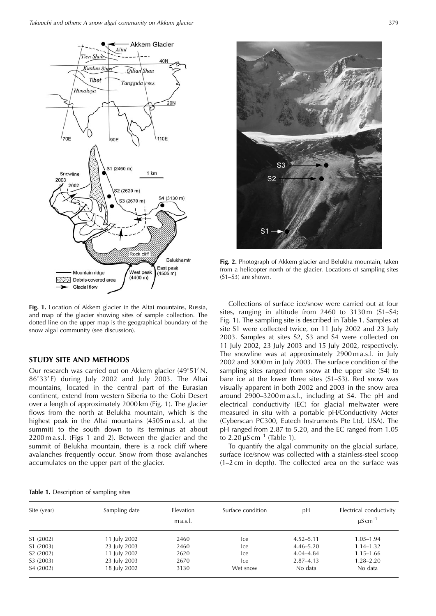

**Fig. 1.** Location of Akkem glacier in the Altai mountains, Russia, and map of the glacier showing sites of sample collection. The dotted line on the upper map is the geographical boundary of the snow algal community (see discussion).

## **STUDY SITE AND METHODS**

Our research was carried out on Akkem glacier  $(49°51'N,$  $86^\circ 33'$  E) during July 2002 and July 2003. The Altai mountains, located in the central part of the Eurasian continent, extend from western Siberia to the Gobi Desert over a length of approximately 2000 km (Fig. 1). The glacier flows from the north at Belukha mountain, which is the highest peak in the Altai mountains (4505 m a.s.l. at the summit) to the south down to its terminus at about 2200 m a.s.l. (Figs 1 and 2). Between the glacier and the summit of Belukha mountain, there is a rock cliff where avalanches frequently occur. Snow from those avalanches accumulates on the upper part of the glacier.



**Fig. 2.** Photograph of Akkem glacier and Belukha mountain, taken from a helicopter north of the glacier. Locations of sampling sites (S1–S3) are shown.

Collections of surface ice/snow were carried out at four sites, ranging in altitude from 2460 to 3130 m (S1-S4; Fig. 1). The sampling site is described in Table 1. Samples at site S1 were collected twice, on 11 July 2002 and 23 July 2003. Samples at sites S2, S3 and S4 were collected on 11 July 2002, 23 July 2003 and 15 July 2002, respectively. The snowline was at approximately 2900 m a.s.l. in July 2002 and 3000 m in July 2003. The surface condition of the sampling sites ranged from snow at the upper site (S4) to bare ice at the lower three sites (S1–S3). Red snow was visually apparent in both 2002 and 2003 in the snow area around 2900–3200 m a.s.l., including at S4. The pH and electrical conductivity (EC) for glacial meltwater were measured in situ with a portable pH/Conductivity Meter (Cyberscan PC300, Eutech Instruments Pte Ltd, USA). The pH ranged from 2.87 to 5.20, and the EC ranged from 1.05 to  $2.20 \text{ uS} \text{ cm}^{-1}$  (Table 1).

To quantify the algal community on the glacial surface, surface ice/snow was collected with a stainless-steel scoop (1–2 cm in depth). The collected area on the surface was

| <b>Table 1.</b> Description of sampling sites |  |
|-----------------------------------------------|--|
|-----------------------------------------------|--|

| Site (year)           | Sampling date | Elevation | Surface condition | pH            | Electrical conductivity  |
|-----------------------|---------------|-----------|-------------------|---------------|--------------------------|
|                       |               | ma.s.l.   |                   |               | $\mu$ S cm <sup>-1</sup> |
| S1 (2002)             | 11 July 2002  | 2460      | lce.              | $4.52 - 5.11$ | $1.05 - 1.94$            |
| S1 (2003)             | 23 July 2003  | 2460      | lce               | $4.46 - 5.20$ | $1.14 - 1.32$            |
| S <sub>2</sub> (2002) | 11 July 2002  | 2620      | lce.              | $4.04 - 4.84$ | $1.15 - 1.66$            |
| S3 (2003)             | 23 July 2003  | 2670      | lce.              | $2.87 - 4.13$ | $1.28 - 2.20$            |
| S4 (2002)             | 18 July 2002  | 3130      | Wet snow          | No data       | No data                  |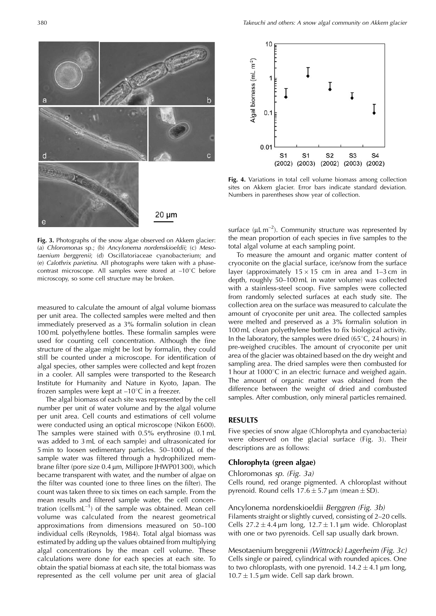

Algal biomass (mL m<sup>-2</sup>) I Ι  $0.1$  $0.01$ S<sub>1</sub> S<sub>1</sub> S<sub>2</sub> S<sub>3</sub> S<sub>4</sub> (2002) (2003) (2002) (2003) (2002)

**Fig. 4.** Variations in total cell volume biomass among collection sites on Akkem glacier. Error bars indicate standard deviation. Numbers in parentheses show year of collection.

**Fig. 3.** Photographs of the snow algae observed on Akkem glacier: (a) Chloromonas sp.; (b) Ancylonema nordenskioeldii; (c) Mesotaenium berggrenii; (d) Oscillatoriaceae cyanobacterium; and (e) Calothrix parietina. All photographs were taken with a phasecontrast microscope. All samples were stored at  $-10^{\circ}$ C before microscopy, so some cell structure may be broken.

measured to calculate the amount of algal volume biomass per unit area. The collected samples were melted and then immediately preserved as a 3% formalin solution in clean 100 mL polyethylene bottles. These formalin samples were used for counting cell concentration. Although the fine structure of the algae might be lost by formalin, they could still be counted under a microscope. For identification of algal species, other samples were collected and kept frozen in a cooler. All samples were transported to the Research Institute for Humanity and Nature in Kyoto, Japan. The frozen samples were kept at  $-10^{\circ}$ C in a freezer.

The algal biomass of each site was represented by the cell number per unit of water volume and by the algal volume per unit area. Cell counts and estimations of cell volume were conducted using an optical microscope (Nikon E600). The samples were stained with 0.5% erythrosine (0.1 mL was added to 3 mL of each sample) and ultrasonicated for  $5$  min to loosen sedimentary particles.  $50-1000 \,\mu$ L of the sample water was filtered through a hydrophilized membrane filter (pore size 0.4 µm, Millipore JHWP01300), which became transparent with water, and the number of algae on the filter was counted (one to three lines on the filter). The count was taken three to six times on each sample. From the mean results and filtered sample water, the cell concentration (cells  $mL^{-1}$ ) of the sample was obtained. Mean cell volume was calculated from the nearest geometrical approximations from dimensions measured on 50–100 individual cells (Reynolds, 1984). Total algal biomass was estimated by adding up the values obtained from multiplying algal concentrations by the mean cell volume. These calculations were done for each species at each site. To obtain the spatial biomass at each site, the total biomass was represented as the cell volume per unit area of glacial surface ( $\mu$ L m<sup>-2</sup>). Community structure was represented by the mean proportion of each species in five samples to the total algal volume at each sampling point.

To measure the amount and organic matter content of cryoconite on the glacial surface, ice/snow from the surface layer (approximately  $15 \times 15$  cm in area and  $1-3$  cm in depth, roughly 50–100 mL in water volume) was collected with a stainless-steel scoop. Five samples were collected from randomly selected surfaces at each study site. The collection area on the surface was measured to calculate the amount of cryoconite per unit area. The collected samples were melted and preserved as a 3% formalin solution in 100 mL clean polyethylene bottles to fix biological activity. In the laboratory, the samples were dried  $(65^{\circ}C, 24$  hours) in pre-weighed crucibles. The amount of cryoconite per unit area of the glacier was obtained based on the dry weight and sampling area. The dried samples were then combusted for 1 hour at  $1000^{\circ}$ C in an electric furnace and weighed again. The amount of organic matter was obtained from the difference between the weight of dried and combusted samples. After combustion, only mineral particles remained.

## **RESULTS**

Five species of snow algae (Chlorophyta and cyanobacteria) were observed on the glacial surface (Fig. 3). Their descriptions are as follows:

## **Chlorophyta (green algae)**

Chloromonas sp. (Fig. 3a)

Cells round, red orange pigmented. A chloroplast without pyrenoid. Round cells  $17.6 \pm 5.7$   $\mu$ m (mean  $\pm$  SD).

Ancylonema nordenskioeldii Berggren (Fig. 3b) Filaments straight or slightly curved, consisting of 2–20 cells. Cells  $27.2 \pm 4.4 \,\mu$ m long,  $12.7 \pm 1.1 \,\mu$ m wide. Chloroplast with one or two pyrenoids. Cell sap usually dark brown.

Mesotaenium breggrenii (Wittrock) Lagerheim (Fig. 3c) Cells single or paired, cylindrical with rounded apices. One to two chloroplasts, with one pyrenoid.  $14.2 \pm 4.1$   $\mu$ m long,  $10.7 \pm 1.5$  µm wide. Cell sap dark brown.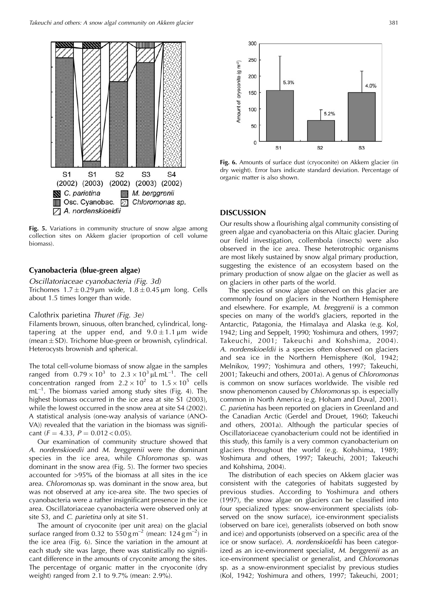

**Fig. 5.** Variations in community structure of snow algae among collection sites on Akkem glacier (proportion of cell volume biomass).

# **Cyanobacteria (blue-green algae)**

Oscillatoriaceae cyanobacteria (Fig. 3d) Trichomes  $1.7 \pm 0.29 \,\mu m$  wide,  $1.8 \pm 0.45 \,\mu m$  long. Cells about 1.5 times longer than wide.

## Calothrix parietina Thuret (Fig. 3e)

Filaments brown, sinuous, often branched, cylindrical, longtapering at the upper end, and  $9.0 \pm 1.1 \,\mathrm{\upmu m}$  wide (mean  $\pm$  SD). Trichome blue-green or brownish, cylindrical. Heterocysts brownish and spherical.

The total cell-volume biomass of snow algae in the samples ranged from  $0.79 \times 10^3$  to  $2.3 \times 10^3$   $\mu$ L mL<sup>-1</sup>. The cell concentration ranged from  $2.2 \times 10^2$  to  $1.5 \times 10^5$  cells  $mL^{-1}$ . The biomass varied among study sites (Fig. 4). The highest biomass occurred in the ice area at site S1 (2003), while the lowest occurred in the snow area at site S4 (2002). A statistical analysis (one-way analysis of variance (ANO-VA)) revealed that the variation in the biomass was significant ( $F = 4.33$ ,  $P = 0.012 < 0.05$ ).

Our examination of community structure showed that A. nordenskioedii and M. breggrenii were the dominant species in the ice area, while Chloromonas sp. was dominant in the snow area (Fig. 5). The former two species accounted for >95% of the biomass at all sites in the ice area. Chloromonas sp. was dominant in the snow area, but was not observed at any ice-area site. The two species of cyanobacteria were a rather insignificant presence in the ice area. Oscillatoriaceae cyanobacteria were observed only at site S<sub>3</sub>, and *C. parietina* only at site S<sub>1</sub>.

The amount of cryoconite (per unit area) on the glacial surface ranged from 0.32 to  $550 \text{ g m}^{-2}$  (mean:  $124 \text{ g m}^{-2}$ ) in the ice area (Fig. 6). Since the variation in the amount at each study site was large, there was statistically no significant difference in the amounts of cryconite among the sites. The percentage of organic matter in the cryoconite (dry weight) ranged from 2.1 to 9.7% (mean: 2.9%).



**Fig. 6.** Amounts of surface dust (cryoconite) on Akkem glacier (in dry weight). Error bars indicate standard deviation. Percentage of organic matter is also shown.

## **DISCUSSION**

Our results show a flourishing algal community consisting of green algae and cyanobacteria on this Altaic glacier. During our field investigation, collembola (insects) were also observed in the ice area. These heterotrophic organisms are most likely sustained by snow algal primary production, suggesting the existence of an ecosystem based on the primary production of snow algae on the glacier as well as on glaciers in other parts of the world.

The species of snow algae observed on this glacier are commonly found on glaciers in the Northern Hemisphere and elsewhere. For example, M. breggrenii is a common species on many of the world's glaciers, reported in the Antarctic, Patagonia, the Himalaya and Alaska (e.g. Kol, 1942; Ling and Seppelt, 1990; Yoshimura and others, 1997; Takeuchi, 2001; Takeuchi and Kohshima, 2004). A. nordenskioeldii is a species often observed on glaciers and sea ice in the Northern Hemisphere (Kol, 1942; Melnikov, 1997; Yoshimura and others, 1997; Takeuchi, 2001; Takeuchi and others, 2001a). A genus of Chloromonas is common on snow surfaces worldwide. The visible red snow phenomenon caused by Chloromonas sp. is especially common in North America (e.g. Hoham and Duval, 2001). C. parietina has been reported on glaciers in Greenland and the Canadian Arctic (Gerdel and Drouet, 1960; Takeuchi and others, 2001a). Although the particular species of Oscillatoriaceae cyanobacterium could not be identified in this study, this family is a very common cyanobacterium on glaciers throughout the world (e.g. Kohshima, 1989; Yoshimura and others, 1997; Takeuchi, 2001; Takeuchi and Kohshima, 2004).

The distribution of each species on Akkem glacier was consistent with the categories of habitats suggested by previous studies. According to Yoshimura and others (1997), the snow algae on glaciers can be classified into four specialized types: snow-environment specialists (observed on the snow surface), ice-environment specialists (observed on bare ice), generalists (observed on both snow and ice) and opportunists (observed on a specific area of the ice or snow surface). A. nordenskioeldii has been categorized as an ice-environment specialist, M. berggrenii as an ice-environment specialist or generalist, and Chloromonas sp. as a snow-environment specialist by previous studies (Kol, 1942; Yoshimura and others, 1997; Takeuchi, 2001;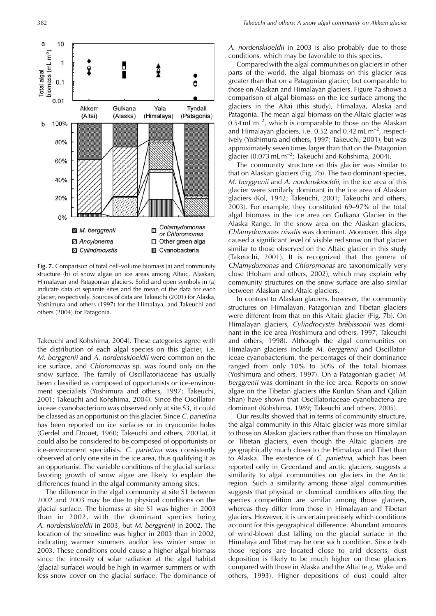

**Fig. 7.** Comparison of total cell-volume biomass (a) and community structure (b) of snow algae on ice areas among Altaic, Alaskan, Himalayan and Patagonian glaciers. Solid and open symbols in (a) indicate data of separate sites and the mean of the data for each glacier, respectively. Sources of data are Takeuchi (2001) for Alaska, Yoshimura and others (1997) for the Himalaya, and Takeuchi and others (2004) for Patagonia.

Takeuchi and Kohshima, 2004). These categories agree with the distribution of each algal species on this glacier, i.e. M. berggrenii and A. nordenskioeldii were common on the ice surface, and Chloromonas sp. was found only on the snow surface. The family of Oscillatoriaceae has usually been classified as composed of opportunists or ice-environment specialists (Yoshimura and others, 1997; Takeuchi, 2001; Takeuchi and Kohshima, 2004). Since the Oscillatoriaceae cyanobacterium was observed only at site S3, it could be classed as an opportunist on this glacier. Since C. parietina has been reported on ice surfaces or in cryoconite holes (Gerdel and Drouet, 1960; Takeuchi and others, 2001a), it could also be considered to be composed of opportunists or ice-environment specialists. C. parietina was consistently observed at only one site in the ice area, thus qualifying it as an opportunist. The variable conditions of the glacial surface favoring growth of snow algae are likely to explain the differences found in the algal community among sites.

The difference in the algal community at site S1 between 2002 and 2003 may be due to physical conditions on the glacial surface. The biomass at site S1 was higher in 2003 than in 2002, with the dominant species being A. nordenskioeldii in 2003, but M. berggrenii in 2002. The location of the snowline was higher in 2003 than in 2002, indicating warmer summers and/or less winter snow in 2003. These conditions could cause a higher algal biomass since the intensity of solar radiation at the algal habitat (glacial surface) would be high in warmer summers or with less snow cover on the glacial surface. The dominance of A. nordenskioeldii in 2003 is also probably due to those conditions, which may be favorable to this species.

Compared with the algal communities on glaciers in other parts of the world, the algal biomass on this glacier was greater than that on a Patagonian glacier, but comparable to those on Alaskan and Himalayan glaciers. Figure 7a shows a comparison of algal biomass on the ice surface among the glaciers in the Altai (this study), Himalaya, Alaska and Patagonia. The mean algal biomass on the Altaic glacier was 0.54 mL  $m^{-2}$ , which is comparable to those on the Alaskan and Himalayan glaciers, i.e. 0.52 and 0.42 mL  $m^{-2}$ , respectively (Yoshimura and others, 1997; Takeuchi, 2001), but was approximately seven times larger than that on the Patagonian glacier (0.073 mL m<sup>-2</sup>; Takeuchi and Kohshima, 2004).

The community structure on this glacier was similar to that on Alaskan glaciers (Fig. 7b). The two dominant species, M. berggrenii and A. nordenskioeldii, in the ice area of this glacier were similarly dominant in the ice area of Alaskan glaciers (Kol, 1942; Takeuchi, 2001; Takeuchi and others, 2003). For example, they constituted 69–97% of the total algal biomass in the ice area on Gulkana Glacier in the Alaska Range. In the snow area on the Alaskan glaciers, Chlamydomonas nivalis was dominant. Moreover, this alga caused a significant level of visible red snow on that glacier similar to those observed on the Altaic glacier in this study (Takeuchi, 2001). It is recognized that the genera of Chlamydomonas and Chloromonas are taxonomically very close (Hoham and others, 2002), which may explain why community structures on the snow surface are also similar between Alaskan and Altaic glaciers.

In contrast to Alaskan glaciers, however, the community structures on Himalayan, Patagonian and Tibetan glaciers were different from that on this Altaic glacier (Fig. 7b). On Himalayan glaciers, Cylindrocystis brébissonii was dominant in the ice area (Yoshimura and others, 1997; Takeuchi and others, 1998). Although the algal communities on Himalayan glaciers include M. berggrenii and Oscillatoriceae cyanobacterium, the percentages of their dominance ranged from only 10% to 50% of the total biomass (Yoshimura and others, 1997). On a Patagonian glacier, M. berggrenii was dominant in the ice area. Reports on snow algae on the Tibetan glaciers (the Kunlun Shan and Qilian Shan) have shown that Oscillatoriaceae cyanobacteria are dominant (Kohshima, 1989; Takeuchi and others, 2005).

Our results showed that in terms of community structure, the algal community in this Altaic glacier was more similar to those on Alaskan glaciers rather than those on Himalayan or Tibetan glaciers, even though the Altaic glaciers are geographically much closer to the Himalaya and Tibet than to Alaska. The existence of C. parietina, which has been reported only in Greenland and arctic glaciers, suggests a similarity to algal communities on glaciers in the Arctic region. Such a similarity among those algal communities suggests that physical or chemical conditions affecting the species competition are similar among those glaciers, whereas they differ from those in Himalayan and Tibetan glaciers. However, it is uncertain precisely which conditions account for this geographical difference. Abundant amounts of wind-blown dust falling on the glacial surface in the Himalaya and Tibet may be one such condition. Since both those regions are located close to arid deserts, dust deposition is likely to be much higher on these glaciers compared with those in Alaska and the Altai (e.g. Wake and others, 1993). Higher depositions of dust could alter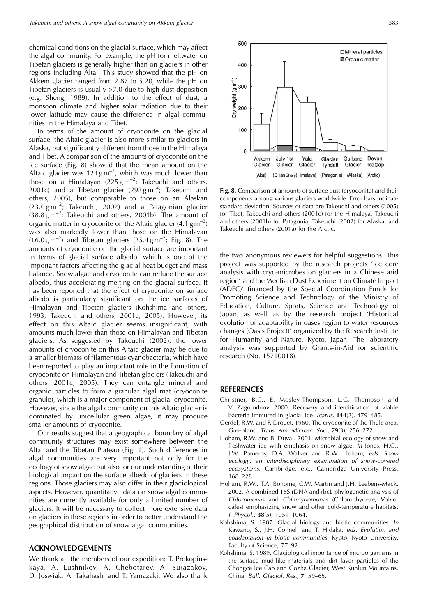chemical conditions on the glacial surface, which may affect the algal community. For example, the pH for meltwater on Tibetan glaciers is generally higher than on glaciers in other regions including Altai. This study showed that the pH on Akkem glacier ranged from 2.87 to 5.20, while the pH on Tibetan glaciers is usually >7.0 due to high dust deposition (e.g. Sheng, 1989). In addition to the effect of dust, a monsoon climate and higher solar radiation due to their lower latitude may cause the difference in algal communities in the Himalaya and Tibet.

In terms of the amount of cryoconite on the glacial surface, the Altaic glacier is also more similar to glaciers in Alaska, but significantly different from those in the Himalaya and Tibet. A comparison of the amounts of cryoconite on the ice surface (Fig. 8) showed that the mean amount on the Altaic glacier was  $124 \text{ g m}^{-2}$ , which was much lower than those on a Himalayan  $(225 g m^{-2})$ ; Takeuchi and others, 2001c) and a Tibetan glacier (292 gm<sup>-2</sup>; Takeuchi and others, 2005), but comparable to those on an Alaskan  $(23.0 \text{ g m}^{-2})$ ; Takeuchi, 2002) and a Patagonian glacier  $(38.8 \,\mathrm{g\,m^{-2}})$ ; Takeuchi and others, 2001b). The amount of organic matter in cryoconite on the Altaic glacier (4.1  $\text{g m}^{-2}$ ) was also markedly lower than those on the Himalayan  $(16.0 \text{ g m}^{-2})$  and Tibetan glaciers  $(25.4 \text{ g m}^{-2})$ ; Fig. 8). The amounts of cryoconite on the glacial surface are important in terms of glacial surface albedo, which is one of the important factors affecting the glacial heat budget and mass balance. Snow algae and cryoconite can reduce the surface albedo, thus accelerating melting on the glacial surface. It has been reported that the effect of cryoconite on surface albedo is particularly significant on the ice surfaces of Himalayan and Tibetan glaciers (Kohshima and others, 1993; Takeuchi and others, 2001c, 2005). However, its effect on this Altaic glacier seems insignificant, with amounts much lower than those on Himalayan and Tibetan glaciers. As suggested by Takeuchi (2002), the lower amounts of cryoconite on this Altaic glacier may be due to a smaller biomass of filamentous cyanobacteria, which have been reported to play an important role in the formation of cryoconite on Himalayan and Tibetan glaciers (Takeuchi and others, 2001c, 2005). They can entangle mineral and organic particles to form a granular algal mat (cryoconite granule), which is a major component of glacial cryoconite. However, since the algal community on this Altaic glacier is dominated by unicellular green algae, it may produce smaller amounts of cryoconite.

Our results suggest that a geographical boundary of algal community structures may exist somewhere between the Altai and the Tibetan Plateau (Fig. 1). Such differences in algal communities are very important not only for the ecology of snow algae but also for our understanding of their biological impact on the surface albedo of glaciers in these regions. Those glaciers may also differ in their glaciological aspects. However, quantitative data on snow algal communities are currently available for only a limited number of glaciers. It will be necessary to collect more extensive data on glaciers in these regions in order to better understand the geographical distribution of snow algal communities.

# **ACKNOWLEDGEMENTS**

We thank all the members of our expedition: T. Prokopinskaya, A. Lushnikov, A. Chebotarev, A. Surazakov, D. Joswiak, A. Takahashi and T. Yamazaki. We also thank



**Fig. 8.** Comparison of amounts of surface dust (cryoconite) and their components among various glaciers worldwide. Error bars indicate standard deviation. Sources of data are Takeuchi and others (2005) for Tibet, Takeuchi and others (2001c) for the Himalaya, Takeuchi and others (2001b) for Patagonia, Takeuchi (2002) for Alaska, and Takeuchi and others (2001a) for the Arctic.

the two anonymous reviewers for helpful suggestions. This project was supported by the research projects 'Ice core analysis with cryo-microbes on glaciers in a Chinese arid region' and the 'Aeolian Dust Experiment on Climate Impact (ADEC)' financed by the Special Coordination Funds for Promoting Science and Technology of the Ministry of Education, Culture, Sports, Science and Technology of Japan, as well as by the research project 'Historical evolution of adaptability in oases region to water resources changes (Oasis Project)' organized by the Research Institute for Humanity and Nature, Kyoto, Japan. The laboratory analysis was supported by Grants-in-Aid for scientific research (No. 15710018).

## **REFERENCES**

- Christner, B.C., E. Mosley-Thompson, L.G. Thompson and V. Zagorodnov. 2000. Recovery and identification of viable bacteria immured in glacial ice. Icarus, **144**(2), 479–485.
- Gerdel, R.W. and F. Drouet. 1960. The cryoconite of the Thule area, Greenland. Trans. Am. Microsc. Soc., **79**(3), 256–272.
- Hoham, R.W. and B. Duval. 2001. Microbial ecology of snow and freshwater ice with emphasis on snow algae. In Jones, H.G., J.W. Pomeroy, D.A. Walker and R.W. Hoham, eds. Snow ecology: an interdisciplinary examination of snow-covered ecosystems. Cambridge, etc., Cambridge University Press, 168–228.
- Hoham, R.W., T.A. Bonome, C.W. Martin and J.H. Leebens-Mack. 2002. A combined 18S rDNA and rbcL phylogenetic analysis of Chloromonas and Chlamydomonas (Chlorophyceae, Volvocales) emphasizing snow and other cold-temperature habitats. J. Phycol., **38**(5), 1051–1064.
- Kohshima, S. 1987. Glacial biology and biotic communities. In Kawano, S., J.H. Connell and T. Hidaka, eds. Evolution and coadaptation in biotic communities. Kyoto, Kyoto University. Faculty of Science, 77–92.
- Kohshima, S. 1989. Glaciological importance of microorganisms in the surface mud-like materials and dirt layer particles of the Chongce Ice Cap and Gozha Glacier, West Kunlun Mountains, China. Bull. Glaciol. Res., **7**, 59–65.